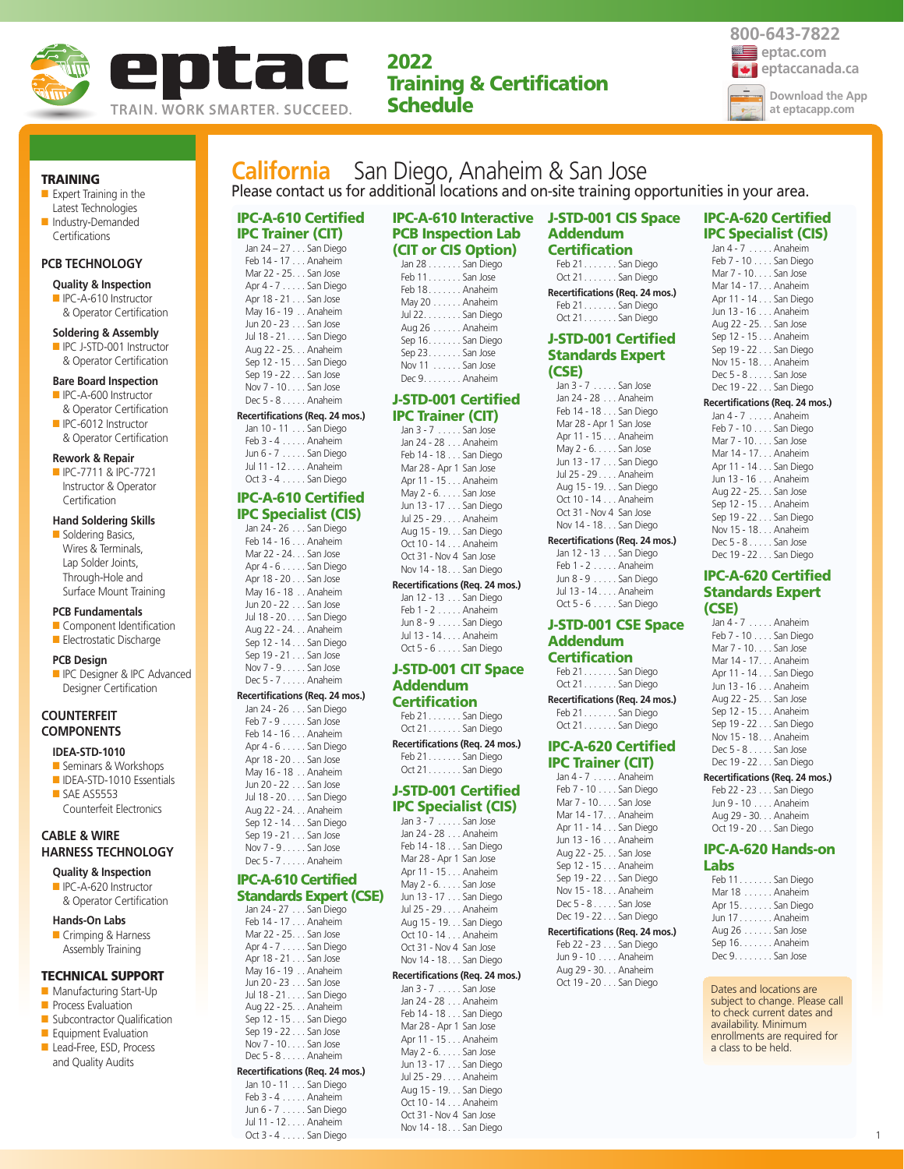

**2022 Training & Certification Schedule**



**TRAINING**

- Expert Training in the Latest Technologies ■ Industry-Demanded
- **Certifications**

### **PCB TECHNOLOGY**

#### **Quality & Inspection**

■ IPC-A-610 Instructor & Operator Certification

#### **Soldering & Assembly**

■ IPC J-STD-001 Instructor & Operator Certification

#### **Bare Board Inspection**

- IPC-A-600 Instructor & Operator Certification
- IPC-6012 Instructor & Operator Certification

#### **Rework & Repair**

■ IPC-7711 & IPC-7721 Instructor & Operator

### **Certification Hand Soldering Skills**

■ Soldering Basics, Wires & Terminals, Lap Solder Joints, Through-Hole and Surface Mount Training

#### **PCB Fundamentals**

■ Component Identification ■ Electrostatic Discharge

#### **PCB Design**

**ID** IPC Designer & IPC Advanced Designer Certification

### **COUNTERFEIT COMPONENTS**

### **IDEA-STD-1010**

- Seminars & Workshops ■ IDEA-STD-1010 Essentials ■ SAE AS5553
- Counterfeit Electronics

### **CABLE & WIRE HARNESS TECHNOLOGY**

- **Quality & Inspection** ■ IPC-A-620 Instructor
- & Operator Certification
- **Hands-On Labs**
- Crimping & Harness Assembly Training

#### **TECHNICAL SUPPORT**

- Manufacturing Start-Up
- **Process Evaluation**
- Subcontractor Qualification
- Equipment Evaluation
- Lead-Free, ESD, Process and Quality Audits

# **California** San Diego, Anaheim & San Jose Please contact us for additional locations and on-site training opportunities in your area.

# **IPC-A-610 Certified IPC Trainer (CIT)**

| Jan 24 – 27 San Diego |  |
|-----------------------|--|
| Feb 14 - 17 Anaheim   |  |
| Mar 22 - 25. San Jose |  |
| Apr $4 - 7$ San Diego |  |
| Apr 18 - 21 San Jose  |  |
| May 16 - 19 Anaheim   |  |
| Jun 20 - 23 San Jose  |  |
| Jul 18 - 21 San Diego |  |
| Aug 22 - 25. Anaheim  |  |
| Sep 12 - 15 San Diego |  |
| Sep 19 - 22 San Jose  |  |
| Nov 7 - 10 San Jose   |  |
| Dec 5 - 8 Anaheim     |  |
|                       |  |

#### **Recertifications (Req. 24 mos.)**

Jan 10 - 11 . . . San Diego Feb 3 - 4 . . . . . Anaheim Jun 6 - 7 . . . . . San Diego Jul 11 - 12 . . . . Anaheim Oct 3 - 4 . . . . . San Diego

#### **IPC-A-610 Certified IPC Specialist (CIS)**

Jan 24 - 26 . . . San Diego Feb 14 - 16 . . . Anaheim Mar 22 - 24. . . San Jose Apr 4 - 6 . . . . . San Diego Apr 18 - 20 . . . San Jose May 16 - 18 . . Anaheim Jun 20 - 22 . . . San Jose Jul 18 - 20 . . . . San Diego Aug 22 - 24. . . Anaheim Sep 12 - 14 . . . San Diego Sep 19 - 21 . . . San Jose Nov 7 - 9 . . . . . San Jose Dec 5 - 7 . . . . . Anaheim

#### **Recertifications (Req. 24 mos.)**

Jan 24 - 26 . . . San Diego Feb 7 - 9 . . . . . San Jose Feb 14 - 16 . . . Anaheim Apr 4 - 6 . . . . . San Diego Apr 18 - 20 . . . San Jose May 16 - 18 . . Anaheim Jun 20 - 22 . . . San Jose Jul 18 - 20 . . . . San Diego Aug 22 - 24. . . Anaheim Sep 12 - 14 . . . San Diego Sep 19 - 21 . . . San Jose Nov 7 - 9 . . . . . San Jose Dec 5 - 7 . . . . . Anaheim

## **IPC-A-610 Certified**

#### **Standards Expert (CSE)** Jan 24 - 27 . . . San Diego

Feb 14 - 17 . . . Anaheim Mar 22 - 25. . . San Jose Apr 4 - 7 . . . . . San Diego Apr 18 - 21 . . . San Jose May 16 - 19 . . Anaheim Jun 20 - 23 . . . San Jose Jul 18 - 21 . . . . San Diego Aug 22 - 25. . . Anaheim Sep 12 - 15 . . . San Diego Sep 19 - 22 . . . San Jose Nov 7 - 10. . . . San Jose Dec 5 - 8 . . . . . Anaheim **Recertifications (Req. 24 mos.)**

#### Jan 10 - 11 . . . San Diego Feb 3 - 4 . . . . . Anaheim

Jun 6 - 7 . . . . . San Diego Jul 11 - 12 . . . . Anaheim Oct 3 - 4 . . . . . San Diego

### **IPC-A-610 Interactive J-STD-001 CIS Space PCB Inspection Lab (CIT or CIS Option)**

| Jan 28 San Diego  |
|-------------------|
| Feb 11San Jose    |
| Feb 18 Anaheim    |
| May 20 Anaheim    |
| Jul 22. San Diego |
| Aug 26 Anaheim    |
| Sep 16. San Diego |
| Sep $23$ San Jose |
| Nov 11 San Jose   |
| Dec 9. Anaheim    |

#### **J-STD-001 Certified IPC Trainer (CIT)**

| rc irainer (CIT)        |
|-------------------------|
| Jan 3 - 7 San Jose      |
| Jan 24 - 28 Anaheim     |
| Feb 14 - 18 San Diego   |
| Mar 28 - Apr 1 San Jose |
| Apr 11 - 15 Anaheim     |
| May $2 - 6$ San Jose    |
| Jun 13 - 17 San Diego   |
| Jul 25 - 29 Anaheim     |
| Aug 15 - 19. San Diego  |
| Oct 10 - 14 Anaheim     |
| Oct 31 - Nov 4 San Jose |
| Nov 14 - 18. San Diego  |

#### **Recertifications (Req. 24 mos.)** Jan 12 - 13 . . . San Diego

Feb 1 - 2 . . . . . Anaheim Jun 8 - 9 . . . . . San Diego Jul 13 - 14 . . . . Anaheim Oct 5 - 6 . . . . . San Diego

### **J-STD-001 CIT Space Addendum**

**Certification** Feb 21. . . . . . . San Diego Oct 21. . . . . . . San Diego

**Recertifications (Req. 24 mos.)** Feb 21. . . . . . . San Diego Oct 21. . . . . . . San Diego

#### **J-STD-001 Certified IPC Specialist (CIS)**

Jan 3 - 7 . . . . . San Jose Jan 24 - 28 . . . Anaheim Feb 14 - 18 . . . San Diego Mar 28 - Apr 1 San Jose Apr 11 - 15 . . . Anaheim May 2 - 6. . . . . San Jose Jun 13 - 17 . . . San Diego Jul 25 - 29 . . . . Anaheim Aug 15 - 19. . . San Diego Oct 10 - 14 . . . Anaheim Oct 31 - Nov 4 San Jose Nov 14 - 18. . . San Diego

# **Recertifications (Req. 24 mos.)**

Jan 3 - 7 . . . . . San Jose Jan 24 - 28 . . . Anaheim Feb 14 - 18 . . . San Diego Mar 28 - Apr 1 San Jose Apr 11 - 15 . . . Anaheim May 2 - 6. . . . . San Jose Jun 13 - 17 . . . San Diego Jul 25 - 29 . . . . Anaheim Aug 15 - 19. . . San Diego Oct 10 - 14 . . . Anaheim Oct 31 - Nov 4 San Jose Nov 14 - 18. . . San Diego

# **Addendum Certification**

Feb 21. . . . . . . San Diego Oct 21. . . . . . . San Diego **Recertifications (Req. 24 mos.)** Feb 21. . . . . . . San Diego Oct 21. . . . . . . San Diego

### **J-STD-001 Certified Standards Expert (CSE)**

### **Recertifications (Req. 24 mos.)**

Jan 12 - 13 . . . San Diego Feb 1 - 2 . . . . . Anaheim Jun 8 - 9 . . . . . San Diego Jul 13 - 14 . . . . Anaheim

Oct 5 - 6 . . . . . San Diego

# **J-STD-001 CSE Space Addendum**

### **Certification**

Feb 21. . . . . . . San Diego Oct 21. . . . . . . San Diego

**Recertifications (Req. 24 mos.)** Feb 21. . . . . . . San Diego Oct 21. . . . . . . San Diego

#### **IPC-A-620 Certified IPC Trainer (CIT)**

| L IIdiner (CII)       |
|-----------------------|
| Jan 4 - 7 Anaheim     |
| Feb 7 - 10 San Diego  |
| Mar 7 - 10. San Jose  |
| Mar 14 - 17. Anaheim  |
| Apr 11 - 14 San Diego |
| Jun 13 - 16 Anaheim   |
| Aug 22 - 25. San Jose |
| Sep 12 - 15 Anaheim   |
| Sep 19 - 22 San Diego |
| Nov 15 - 18. Anaheim  |
| Dec 5 - 8 San Jose    |
| Dec 19 - 22 San Diego |
|                       |

### **Recertifications (Req. 24 mos.)**

Feb 22 - 23 . . . San Diego Jun 9 - 10 . . . . Anaheim Aug 29 - 30. . . Anaheim Oct 19 - 20 . . . San Diego

### **IPC-A-620 Certified IPC Specialist (CIS)**

| Jan 4 - 7 Anaheim     |
|-----------------------|
| Feb 7 - 10 San Diego  |
| Mar 7 - 10. San Jose  |
| Mar 14 - 17. Anaheim  |
| Apr 11 - 14 San Diego |
| Jun 13 - 16 Anaheim   |
| Aug 22 - 25. San Jose |
| Sep 12 - 15 Anaheim   |
| Sep 19 - 22 San Diego |
| Nov 15 - 18. Anaheim  |
| Dec 5 - 8 San Jose    |
| Dec 19 - 22 San Diego |
|                       |

### **Recertifications (Req. 24 mos.)**

| Jan 4 - 7 Anaheim     |
|-----------------------|
| Feb 7 - 10 San Diego  |
| Mar 7 - 10. San Jose  |
| Mar 14 - 17. Anaheim  |
| Apr 11 - 14 San Diego |
| Jun 13 - 16 Anaheim   |
| Aug 22 - 25. San Jose |
| Sep 12 - 15 Anaheim   |
| Sep 19 - 22 San Diego |
| Nov 15 - 18. Anaheim  |
| Dec 5 - 8 San Jose    |
| Dec 19 - 22 San Diego |

#### **IPC-A-620 Certified Standards Expert (CSE)**

| Jan 4 - 7 Anaheim     |
|-----------------------|
| Feb 7 - 10 San Diego  |
| Mar 7 - 10. San Jose  |
| Mar 14 - 17. Anaheim  |
| Apr 11 - 14 San Diego |
| Jun 13 - 16 Anaheim   |
| Aug 22 - 25. San Jose |
| Sep 12 - 15 Anaheim   |
| Sep 19 - 22 San Diego |
| Nov 15 - 18. Anaheim  |
| Dec 5 - 8 San Jose    |
| Dec 19 - 22 San Diego |

**Recertifications (Req. 24 mos.)**

Feb 22 - 23 . . . San Diego Jun 9 - 10 . . . . Anaheim Aug 29 - 30. . . Anaheim Oct 19 - 20 . . . San Diego

### **IPC-A-620 Hands-on Labs**

Feb 11. . . . . . . San Diego Mar 18 . . . . . . Anaheim Apr 15. . . . . . . San Diego Jun 17 . . . . . . . Anaheim Aug 26 . . . . . . San Jose Sep 16. . . . . . . Anaheim Dec 9. . . . . . . . San Jose

Dates and locations are subject to change. Please call to check current dates and availability. Minimum enrollments are required for a class to be held.